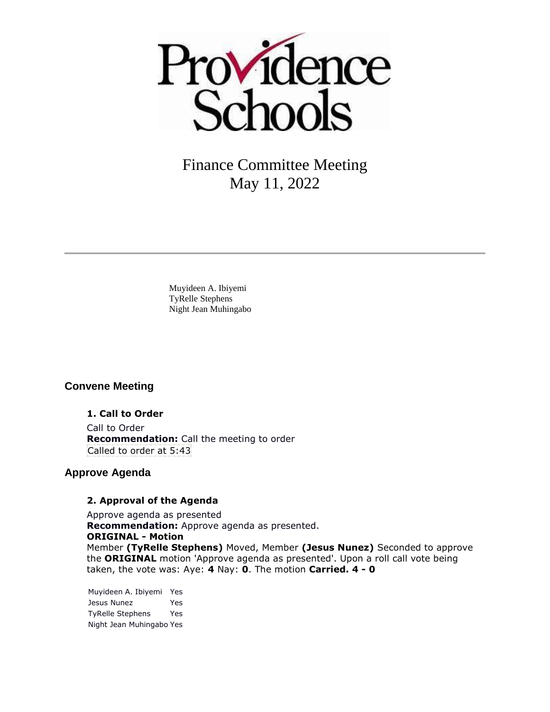

Muyideen A. Ibiyemi TyRelle Stephens Night Jean Muhingabo

# **Convene Meeting**

**1. Call to Order** Call to Order **Recommendation:** Call the meeting to order Called to order at 5:43

## **Approve Agenda**

#### **2. Approval of the Agenda**

Approve agenda as presented **Recommendation:** Approve agenda as presented. **ORIGINAL - Motion** Member **(TyRelle Stephens)** Moved, Member **(Jesus Nunez)** Seconded to approve the **ORIGINAL** motion 'Approve agenda as presented'. Upon a roll call vote being taken, the vote was: Aye: **4** Nay: **0**. The motion **Carried. 4 - 0** 

Muyideen A. Ibiyemi Yes Jesus Nunez Yes TyRelle Stephens Yes Night Jean Muhingabo Yes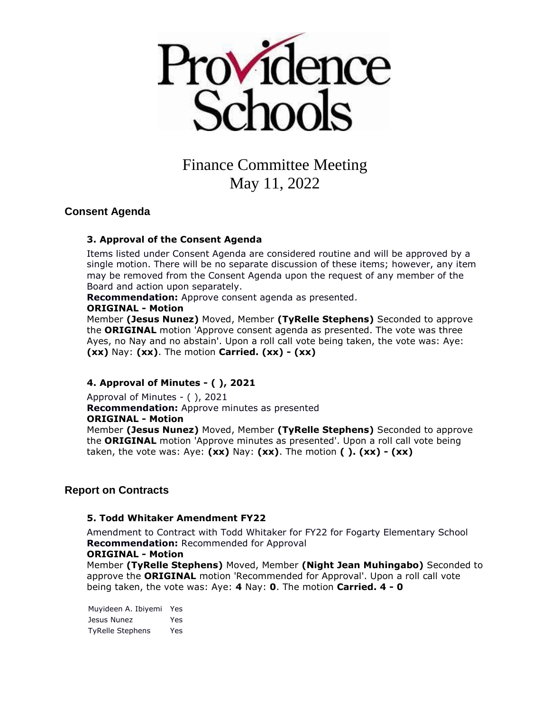

# **Consent Agenda**

## **3. Approval of the Consent Agenda**

Items listed under Consent Agenda are considered routine and will be approved by a single motion. There will be no separate discussion of these items; however, any item may be removed from the Consent Agenda upon the request of any member of the Board and action upon separately.

**Recommendation:** Approve consent agenda as presented.

### **ORIGINAL - Motion**

Member **(Jesus Nunez)** Moved, Member **(TyRelle Stephens)** Seconded to approve the **ORIGINAL** motion 'Approve consent agenda as presented. The vote was three Ayes, no Nay and no abstain'. Upon a roll call vote being taken, the vote was: Aye: **(xx)** Nay: **(xx)**. The motion **Carried. (xx) - (xx)** 

# **4. Approval of Minutes - ( ), 2021**

Approval of Minutes - ( ), 2021 **Recommendation:** Approve minutes as presented **ORIGINAL - Motion** Member **(Jesus Nunez)** Moved, Member **(TyRelle Stephens)** Seconded to approve the **ORIGINAL** motion 'Approve minutes as presented'. Upon a roll call vote being taken, the vote was: Aye: **(xx)** Nay: **(xx)**. The motion **( ). (xx) - (xx)** 

# **Report on Contracts**

## **5. Todd Whitaker Amendment FY22**

Amendment to Contract with Todd Whitaker for FY22 for Fogarty Elementary School **Recommendation:** Recommended for Approval

#### **ORIGINAL - Motion**

Member **(TyRelle Stephens)** Moved, Member **(Night Jean Muhingabo)** Seconded to approve the **ORIGINAL** motion 'Recommended for Approval'. Upon a roll call vote being taken, the vote was: Aye: **4** Nay: **0**. The motion **Carried. 4 - 0** 

Muyideen A. Ibiyemi Yes Jesus Nunez Yes TyRelle Stephens Yes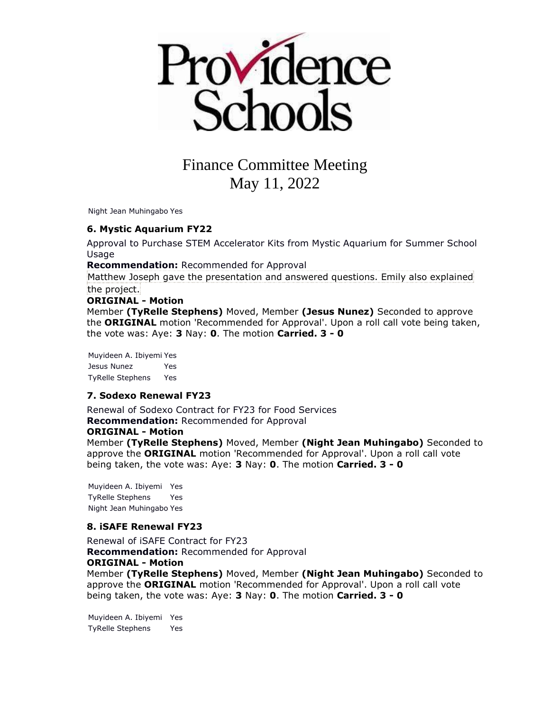

Night Jean Muhingabo Yes

**6. Mystic Aquarium FY22**

Approval to Purchase STEM Accelerator Kits from Mystic Aquarium for Summer School **Usage** 

**Recommendation:** Recommended for Approval

Matthew Joseph gave the presentation and answered questions. Emily also explained the project.

#### **ORIGINAL - Motion**

Member **(TyRelle Stephens)** Moved, Member **(Jesus Nunez)** Seconded to approve the **ORIGINAL** motion 'Recommended for Approval'. Upon a roll call vote being taken, the vote was: Aye: **3** Nay: **0**. The motion **Carried. 3 - 0** 

Muyideen A. Ibiyemi Yes Jesus Nunez Yes TyRelle Stephens Yes

#### **7. Sodexo Renewal FY23**

Renewal of Sodexo Contract for FY23 for Food Services **Recommendation:** Recommended for Approval **ORIGINAL - Motion** Member **(TyRelle Stephens)** Moved, Member **(Night Jean Muhingabo)** Seconded to approve the **ORIGINAL** motion 'Recommended for Approval'. Upon a roll call vote

being taken, the vote was: Aye: **3** Nay: **0**. The motion **Carried. 3 - 0** 

Muyideen A. Ibiyemi Yes TyRelle Stephens Yes Night Jean Muhingabo Yes

#### **8. iSAFE Renewal FY23**

Renewal of iSAFE Contract for FY23 **Recommendation:** Recommended for Approval **ORIGINAL - Motion** Member **(TyRelle Stephens)** Moved, Member **(Night Jean Muhingabo)** Seconded to approve the **ORIGINAL** motion 'Recommended for Approval'. Upon a roll call vote being taken, the vote was: Aye: **3** Nay: **0**. The motion **Carried. 3 - 0** 

Muyideen A. Ibiyemi Yes TyRelle Stephens Yes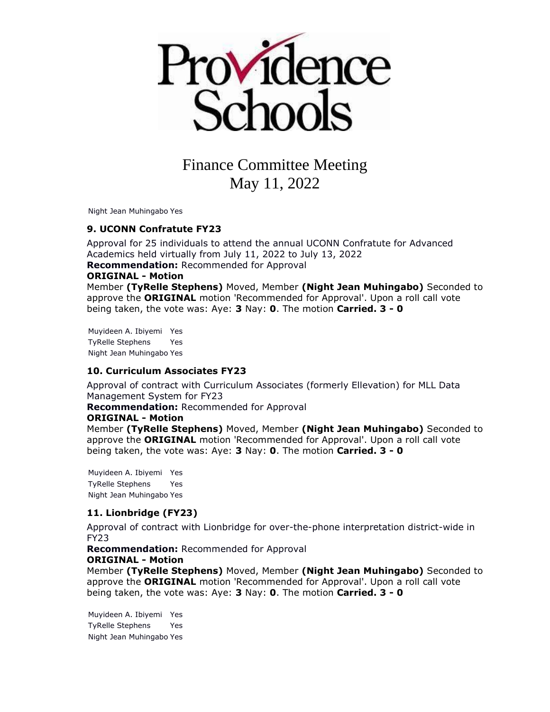

Night Jean Muhingabo Yes

#### **9. UCONN Confratute FY23**

Approval for 25 individuals to attend the annual UCONN Confratute for Advanced Academics held virtually from July 11, 2022 to July 13, 2022 **Recommendation:** Recommended for Approval **ORIGINAL - Motion** Member **(TyRelle Stephens)** Moved, Member **(Night Jean Muhingabo)** Seconded to approve the **ORIGINAL** motion 'Recommended for Approval'. Upon a roll call vote

being taken, the vote was: Aye: **3** Nay: **0**. The motion **Carried. 3 - 0** 

Muyideen A. Ibiyemi Yes TyRelle Stephens Yes Night Jean Muhingabo Yes

#### **10. Curriculum Associates FY23**

Approval of contract with Curriculum Associates (formerly Ellevation) for MLL Data Management System for FY23

**Recommendation:** Recommended for Approval

#### **ORIGINAL - Motion**

Member **(TyRelle Stephens)** Moved, Member **(Night Jean Muhingabo)** Seconded to approve the **ORIGINAL** motion 'Recommended for Approval'. Upon a roll call vote being taken, the vote was: Aye: **3** Nay: **0**. The motion **Carried. 3 - 0** 

Muyideen A. Ibiyemi Yes TyRelle Stephens Yes Night Jean Muhingabo Yes

#### **11. Lionbridge (FY23)**

Approval of contract with Lionbridge for over-the-phone interpretation district-wide in FY23

**Recommendation:** Recommended for Approval **ORIGINAL - Motion**

Member **(TyRelle Stephens)** Moved, Member **(Night Jean Muhingabo)** Seconded to approve the **ORIGINAL** motion 'Recommended for Approval'. Upon a roll call vote being taken, the vote was: Aye: **3** Nay: **0**. The motion **Carried. 3 - 0** 

Muyideen A. Ibiyemi Yes TyRelle Stephens Yes Night Jean Muhingabo Yes